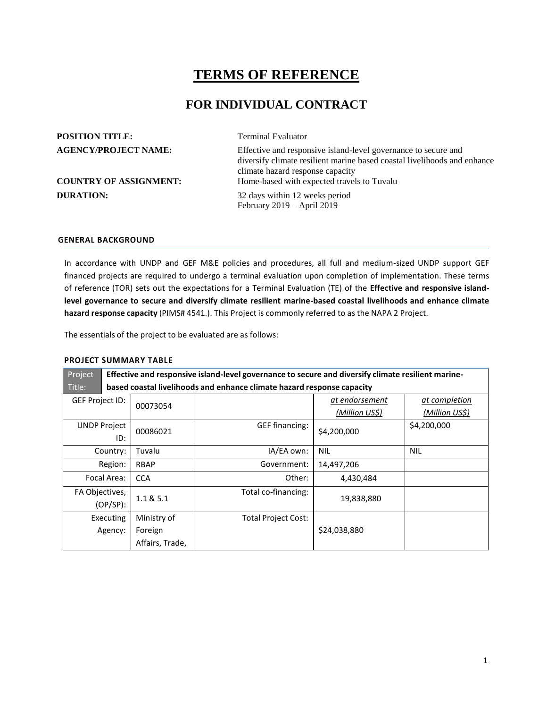# **TERMS OF REFERENCE**

## **FOR INDIVIDUAL CONTRACT**

| <b>POSITION TITLE:</b>        | <b>Terminal Evaluator</b>                                                                                                                                                      |
|-------------------------------|--------------------------------------------------------------------------------------------------------------------------------------------------------------------------------|
| <b>AGENCY/PROJECT NAME:</b>   | Effective and responsive island-level governance to secure and<br>diversify climate resilient marine based coastal livelihoods and enhance<br>climate hazard response capacity |
| <b>COUNTRY OF ASSIGNMENT:</b> | Home-based with expected travels to Tuvalu                                                                                                                                     |
| <b>DURATION:</b>              | 32 days within 12 weeks period<br>February $2019 - April 2019$                                                                                                                 |

#### **GENERAL BACKGROUND**

In accordance with UNDP and GEF M&E policies and procedures, all full and medium-sized UNDP support GEF financed projects are required to undergo a terminal evaluation upon completion of implementation. These terms of reference (TOR) sets out the expectations for a Terminal Evaluation (TE) of the **Effective and responsive islandlevel governance to secure and diversify climate resilient marine-based coastal livelihoods and enhance climate hazard response capacity** (PIMS# 4541.). This Project is commonly referred to as the NAPA 2 Project.

The essentials of the project to be evaluated are as follows:

## **PROJECT SUMMARY TABLE**

| Project                                                                          | Effective and responsive island-level governance to secure and diversify climate resilient marine- |                            |                       |                       |  |  |
|----------------------------------------------------------------------------------|----------------------------------------------------------------------------------------------------|----------------------------|-----------------------|-----------------------|--|--|
| Title:<br>based coastal livelihoods and enhance climate hazard response capacity |                                                                                                    |                            |                       |                       |  |  |
| GEF Project ID:                                                                  | 00073054                                                                                           |                            | at endorsement        | at completion         |  |  |
|                                                                                  |                                                                                                    |                            | <u>(Million US\$)</u> | <u>(Million US\$)</u> |  |  |
| <b>UNDP Project</b>                                                              | 00086021                                                                                           | GEF financing:             | \$4,200,000           | \$4,200,000           |  |  |
|                                                                                  | ID:                                                                                                |                            |                       |                       |  |  |
| Country:                                                                         | Tuvalu                                                                                             | IA/EA own:                 | <b>NIL</b>            | <b>NIL</b>            |  |  |
| Region:                                                                          | <b>RBAP</b>                                                                                        | Government:                | 14,497,206            |                       |  |  |
| Focal Area:                                                                      | <b>CCA</b>                                                                                         | Other:                     | 4,430,484             |                       |  |  |
| FA Objectives,                                                                   | 1.1 & 8.5.1                                                                                        | Total co-financing:        | 19,838,880            |                       |  |  |
| $(OP/SP)$ :                                                                      |                                                                                                    |                            |                       |                       |  |  |
| Executing                                                                        | Ministry of                                                                                        | <b>Total Project Cost:</b> |                       |                       |  |  |
| Agency:                                                                          | Foreign                                                                                            |                            | \$24,038,880          |                       |  |  |
|                                                                                  | Affairs, Trade,                                                                                    |                            |                       |                       |  |  |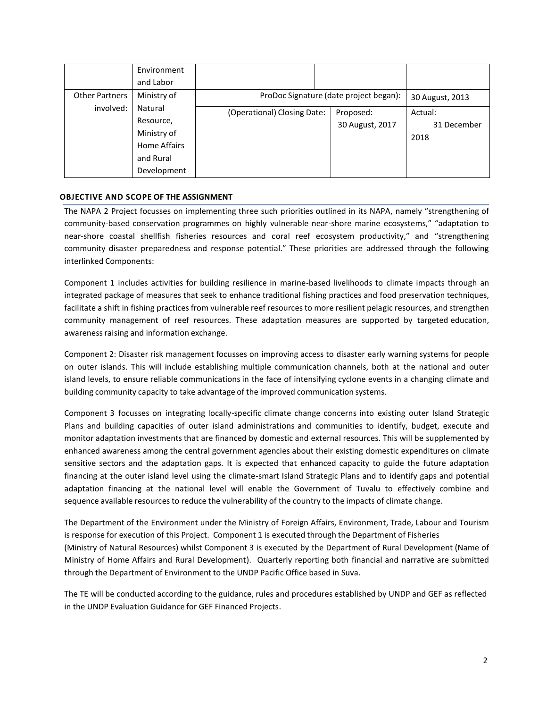|                       | Environment  |                             |                                        |                 |
|-----------------------|--------------|-----------------------------|----------------------------------------|-----------------|
|                       | and Labor    |                             |                                        |                 |
| <b>Other Partners</b> | Ministry of  |                             | ProDoc Signature (date project began): | 30 August, 2013 |
| involved:             | Natural      | (Operational) Closing Date: | Proposed:                              | Actual:         |
|                       | Resource,    |                             | 30 August, 2017                        | 31 December     |
|                       | Ministry of  |                             |                                        | 2018            |
|                       | Home Affairs |                             |                                        |                 |
|                       | and Rural    |                             |                                        |                 |
|                       | Development  |                             |                                        |                 |

## **OBJECTIVE AND SCOPE OF THE ASSIGNMENT**

The NAPA 2 Project focusses on implementing three such priorities outlined in its NAPA, namely "strengthening of community-based conservation programmes on highly vulnerable near-shore marine ecosystems," "adaptation to near-shore coastal shellfish fisheries resources and coral reef ecosystem productivity," and "strengthening community disaster preparedness and response potential." These priorities are addressed through the following interlinked Components:

Component 1 includes activities for building resilience in marine-based livelihoods to climate impacts through an integrated package of measures that seek to enhance traditional fishing practices and food preservation techniques, facilitate a shift in fishing practices from vulnerable reef resourcesto more resilient pelagic resources, and strengthen community management of reef resources. These adaptation measures are supported by targeted education, awareness raising and information exchange.

Component 2: Disaster risk management focusses on improving access to disaster early warning systems for people on outer islands. This will include establishing multiple communication channels, both at the national and outer island levels, to ensure reliable communications in the face of intensifying cyclone events in a changing climate and building community capacity to take advantage of the improved communication systems.

Component 3 focusses on integrating locally-specific climate change concerns into existing outer Island Strategic Plans and building capacities of outer island administrations and communities to identify, budget, execute and monitor adaptation investments that are financed by domestic and external resources. This will be supplemented by enhanced awareness among the central government agencies about their existing domestic expenditures on climate sensitive sectors and the adaptation gaps. It is expected that enhanced capacity to guide the future adaptation financing at the outer island level using the climate-smart Island Strategic Plans and to identify gaps and potential adaptation financing at the national level will enable the Government of Tuvalu to effectively combine and sequence available resourcesto reduce the vulnerability of the country to the impacts of climate change.

The Department of the Environment under the Ministry of Foreign Affairs, Environment, Trade, Labour and Tourism is response for execution of this Project. Component 1 is executed through the Department of Fisheries (Ministry of Natural Resources) whilst Component 3 is executed by the Department of Rural Development (Name of Ministry of Home Affairs and Rural Development). Quarterly reporting both financial and narrative are submitted through the Department of Environment to the UNDP Pacific Office based in Suva.

The TE will be conducted according to the guidance, rules and procedures established by UNDP and GEF as reflected in the UNDP Evaluation Guidance for GEF Financed Projects.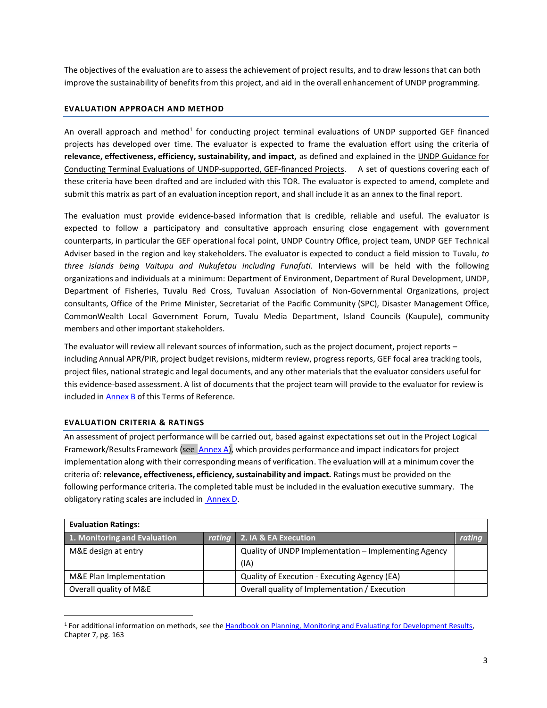The objectives of the evaluation are to assess the achievement of project results, and to draw lessonsthat can both improve the sustainability of benefits from this project, and aid in the overall enhancement of UNDP programming.

## **EVALUATION APPROACH AND METHOD**

An overall approach and method<sup>1</sup> for conducting project terminal evaluations of UNDP supported GEF financed projects has developed over time. The evaluator is expected to frame the evaluation effort using the criteria of **relevance, effectiveness, efficiency, sustainability, and impact,** as defined and explained in the UNDP Guidance for Conducting Terminal Evaluations of UNDP-supported, GEF-financed Projects. A set of questions covering each of these criteria have been drafted and are included with this TOR. The evaluator is expected to amend, complete and submit this matrix as part of an evaluation inception report, and shall include it as an annex to the final report.

The evaluation must provide evidence‐based information that is credible, reliable and useful. The evaluator is expected to follow a participatory and consultative approach ensuring close engagement with government counterparts, in particular the GEF operational focal point, UNDP Country Office, project team, UNDP GEF Technical Adviser based in the region and key stakeholders. The evaluator is expected to conduct a field mission to Tuvalu, *to three islands being Vaitupu and Nukufetau including Funafuti.* Interviews will be held with the following organizations and individuals at a minimum: Department of Environment, Department of Rural Development, UNDP, Department of Fisheries, Tuvalu Red Cross, Tuvaluan Association of Non-Governmental Organizations, project consultants, Office of the Prime Minister, Secretariat of the Pacific Community (SPC), Disaster Management Office, CommonWealth Local Government Forum, Tuvalu Media Department, Island Councils (Kaupule), community members and other important stakeholders.

The evaluator will review all relevant sources of information, such as the project document, project reports – including Annual APR/PIR, project budget revisions, midterm review, progress reports, GEF focal area tracking tools, project files, national strategic and legal documents, and any other materials that the evaluator considers useful for this evidence-based assessment. A list of documents that the project team will provide to the evaluator for review is included in Annex B of this Terms of Reference.

## **EVALUATION CRITERIA & RATINGS**

An assessment of project performance will be carried out, based against expectationsset out in the Project Logical Framework/Results Framework (see Annex A), which provides performance and impact indicators for project implementation along with their corresponding means of verification. The evaluation will at a minimum cover the criteria of: **relevance, effectiveness, efficiency, sustainability and impact.** Ratings must be provided on the following performance criteria. The completed table must be included in the evaluation executive summary. The obligatory rating scales are included in Annex D.

| <b>Evaluation Ratings:</b>   |  |                                                              |        |  |  |
|------------------------------|--|--------------------------------------------------------------|--------|--|--|
| 1. Monitoring and Evaluation |  | rating 2. IA & EA Execution                                  | rating |  |  |
| M&E design at entry          |  | Quality of UNDP Implementation - Implementing Agency<br>(IA) |        |  |  |
| M&E Plan Implementation      |  | Quality of Execution - Executing Agency (EA)                 |        |  |  |
| Overall quality of M&E       |  | Overall quality of Implementation / Execution                |        |  |  |

<sup>1</sup> For additional information on methods, see the Handbook on Planning, Monitoring and Evaluating [for Development Results,](http://www.undp.org/evaluation/handbook) Chapter 7, pg. 163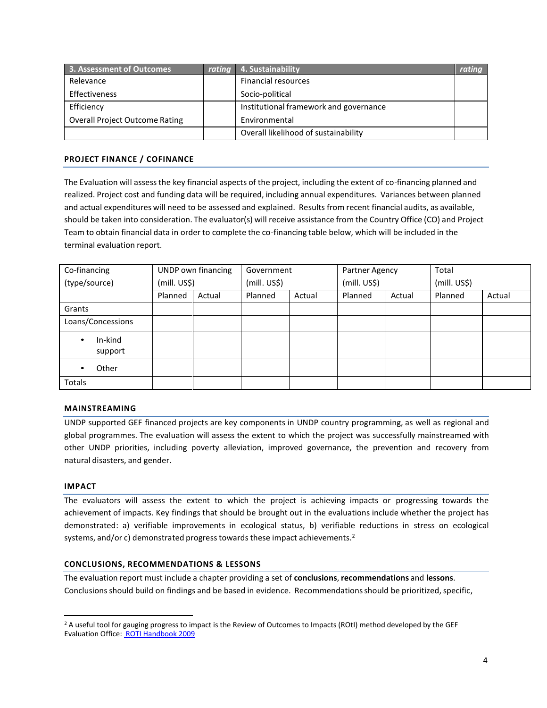| 3. Assessment of Outcomes             | rating 4. Sustainability               | <b>rating</b> |
|---------------------------------------|----------------------------------------|---------------|
| Relevance                             | <b>Financial resources</b>             |               |
| Effectiveness                         | Socio-political                        |               |
| Efficiency                            | Institutional framework and governance |               |
| <b>Overall Project Outcome Rating</b> | Environmental                          |               |
|                                       | Overall likelihood of sustainability   |               |

## **PROJECT FINANCE / COFINANCE**

The Evaluation will assess the key financial aspects of the project, including the extent of co-financing planned and realized. Project cost and funding data will be required, including annual expenditures. Variances between planned and actual expenditures will need to be assessed and explained. Results from recent financial audits, as available, should be taken into consideration. The evaluator(s) will receive assistance from the Country Office (CO) and Project Team to obtain financial data in order to complete the co-financing table below, which will be included in the terminal evaluation report.

| Co-financing                    |              | UNDP own financing | Government   |        | Partner Agency |        | Total        |        |
|---------------------------------|--------------|--------------------|--------------|--------|----------------|--------|--------------|--------|
| (type/source)                   | (mill. US\$) |                    | (mill. US\$) |        | (mill. US\$)   |        | (mill. US\$) |        |
|                                 | Planned      | Actual             | Planned      | Actual | Planned        | Actual | Planned      | Actual |
| Grants                          |              |                    |              |        |                |        |              |        |
| Loans/Concessions               |              |                    |              |        |                |        |              |        |
| In-kind<br>$\bullet$<br>support |              |                    |              |        |                |        |              |        |
| Other<br>$\bullet$              |              |                    |              |        |                |        |              |        |
| Totals                          |              |                    |              |        |                |        |              |        |

## **MAINSTREAMING**

UNDP supported GEF financed projects are key components in UNDP country programming, as well as regional and global programmes. The evaluation will assess the extent to which the project was successfully mainstreamed with other UNDP priorities, including poverty alleviation, improved governance, the prevention and recovery from natural disasters, and gender.

## **IMPACT**

The evaluators will assess the extent to which the project is achieving impacts or progressing towards the achievement of impacts. Key findings that should be brought out in the evaluations include whether the project has demonstrated: a) verifiable improvements in ecological status, b) verifiable reductions in stress on ecological systems, and/or c) demonstrated progress towards these impact achievements.<sup>2</sup>

#### **CONCLUSIONS, RECOMMENDATIONS & LESSONS**

The evaluation report must include a chapter providing a set of **conclusions**, **recommendations** and **lessons**. Conclusionsshould build on findings and be based in evidence. Recommendationsshould be prioritized, specific,

<sup>&</sup>lt;sup>2</sup> A useful tool for gauging progress to impact is the Review of Outcomes to Impacts (ROtI) method developed by the GEF Evaluation Office: ROTI [Handbook 2009](http://www.thegef.org/gef/sites/thegef.org/files/documents/M2_ROtI%20Handbook.pdf)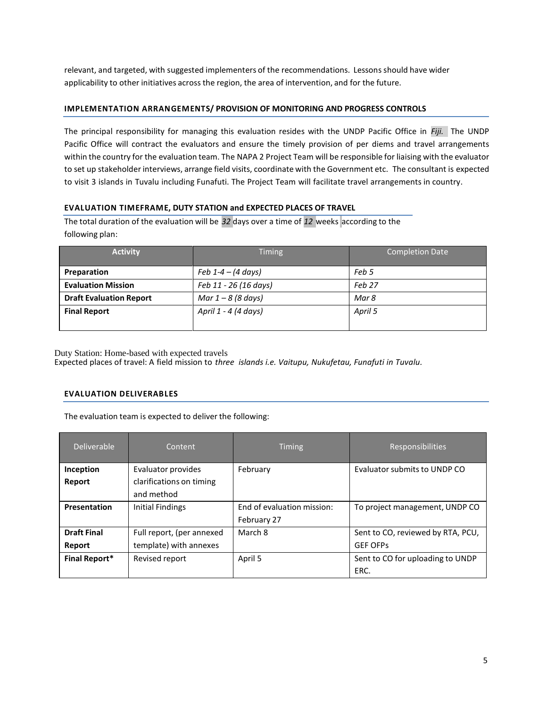relevant, and targeted, with suggested implementers of the recommendations. Lessonsshould have wider applicability to other initiatives across the region, the area of intervention, and for the future.

## **IMPLEMENTATION ARRANGEMENTS/ PROVISION OF MONITORING AND PROGRESS CONTROLS**

The principal responsibility for managing this evaluation resides with the UNDP Pacific Office in *Fiji.* The UNDP Pacific Office will contract the evaluators and ensure the timely provision of per diems and travel arrangements within the country for the evaluation team. The NAPA 2 Project Team will be responsible for liaising with the evaluator to set up stakeholder interviews, arrange field visits, coordinate with the Government etc. The consultant is expected to visit 3 islands in Tuvalu including Funafuti. The Project Team will facilitate travel arrangements in country.

## **EVALUATION TIMEFRAME, DUTY STATION and EXPECTED PLACES OF TRAVEL**

The total duration of the evaluation will be *32* days over a time of *12* weeks according to the following plan:

| <b>Activity</b>                | <b>Timing</b>                  | <b>Completion Date</b> |
|--------------------------------|--------------------------------|------------------------|
| Preparation                    | Feb $1 - 4 - (4 \text{ days})$ | Feb 5                  |
| <b>Evaluation Mission</b>      | Feb 11 - 26 (16 days)          | Feb 27                 |
| <b>Draft Evaluation Report</b> | Mar $1 - 8$ (8 days)           | Mar 8                  |
| <b>Final Report</b>            | April 1 - 4 (4 days)           | April 5                |
|                                |                                |                        |

Duty Station: Home-based with expected travels Expected places of travel: A field mission to *three islands i.e. Vaitupu, Nukufetau, Funafuti in Tuvalu.*

## **EVALUATION DELIVERABLES**

The evaluation team is expected to deliver the following:

| Deliverable          | Content                   | <b>Timing</b>              | <b>Responsibilities</b>           |
|----------------------|---------------------------|----------------------------|-----------------------------------|
| Inception            | Evaluator provides        | February                   | Evaluator submits to UNDP CO      |
| Report               | clarifications on timing  |                            |                                   |
|                      | and method                |                            |                                   |
| Presentation         | Initial Findings          | End of evaluation mission: | To project management, UNDP CO    |
|                      |                           | February 27                |                                   |
| <b>Draft Final</b>   | Full report, (per annexed | March 8                    | Sent to CO, reviewed by RTA, PCU, |
| Report               | template) with annexes    |                            | <b>GEF OFPS</b>                   |
| <b>Final Report*</b> | Revised report            | April 5                    | Sent to CO for uploading to UNDP  |
|                      |                           |                            | ERC.                              |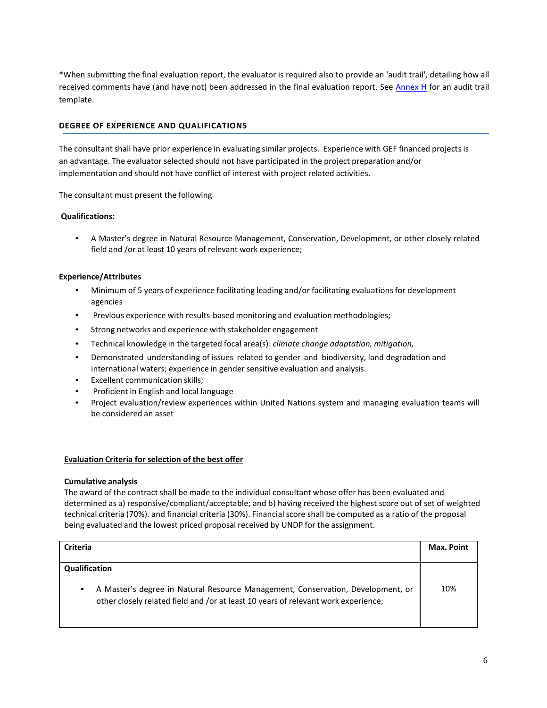\*When submitting the final evaluation report, the evaluator is required also to provide an 'audit trail', detailing how all received comments have (and have not) been addressed in the final evaluation report. See Annex H for an audit trail template.

## **DEGREE OF EXPERIENCE AND QUALIFICATIONS**

The consultant shall have prior experience in evaluating similar projects. Experience with GEF financed projects is an advantage. The evaluator selected should not have participated in the project preparation and/or implementation and should not have conflict of interest with project related activities.

The consultant must present the following

#### **Qualifications:**

• A Master's degree in Natural Resource Management, Conservation, Development, or other closely related field and /or at least 10 years of relevant work experience;

#### **Experience/Attributes**

- Minimum of 5 years of experience facilitating leading and/or facilitating evaluationsfor development agencies
- Previous experience with results‐based monitoring and evaluation methodologies;
- Strong networks and experience with stakeholder engagement
- Technical knowledge in the targeted focal area(s): *climate change adaptation, mitigation,*
- Demonstrated understanding of issues related to gender and biodiversity, land degradation and international waters; experience in gender sensitive evaluation and analysis.
- Excellent communication skills;
- Proficient in English and local language
- Project evaluation/review experiences within United Nations system and managing evaluation teams will be considered an asset

#### **Evaluation Criteria for selection of the best offer**

#### **Cumulative analysis**

The award of the contract shall be made to the individual consultant whose offer has been evaluated and determined as a) responsive/compliant/acceptable; and b) having received the highest score out of set of weighted technical criteria (70%). and financial criteria (30%). Financialscore shall be computed as a ratio of the proposal being evaluated and the lowest priced proposal received by UNDP for the assignment.

| <b>Criteria</b>                                                                                                                                                                    | <b>Max. Point</b> |
|------------------------------------------------------------------------------------------------------------------------------------------------------------------------------------|-------------------|
| Qualification                                                                                                                                                                      |                   |
| A Master's degree in Natural Resource Management, Conservation, Development, or<br>$\bullet$<br>other closely related field and /or at least 10 years of relevant work experience; | 10%               |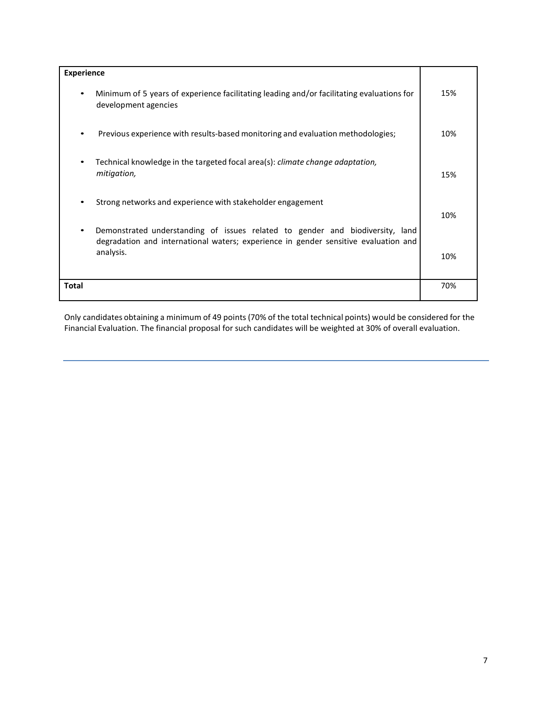| <b>Experience</b>                                                                                                                                                                 |     |
|-----------------------------------------------------------------------------------------------------------------------------------------------------------------------------------|-----|
| Minimum of 5 years of experience facilitating leading and/or facilitating evaluations for<br>development agencies                                                                 | 15% |
| Previous experience with results-based monitoring and evaluation methodologies;                                                                                                   | 10% |
| Technical knowledge in the targeted focal area(s): climate change adaptation,<br>mitigation,                                                                                      | 15% |
| Strong networks and experience with stakeholder engagement                                                                                                                        | 10% |
| Demonstrated understanding of issues related to gender and biodiversity, land<br>degradation and international waters; experience in gender sensitive evaluation and<br>analysis. | 10% |
| Total                                                                                                                                                                             | 70% |

Only candidates obtaining a minimum of 49 points (70% of the total technical points) would be considered for the Financial Evaluation. The financial proposal for such candidates will be weighted at 30% of overall evaluation.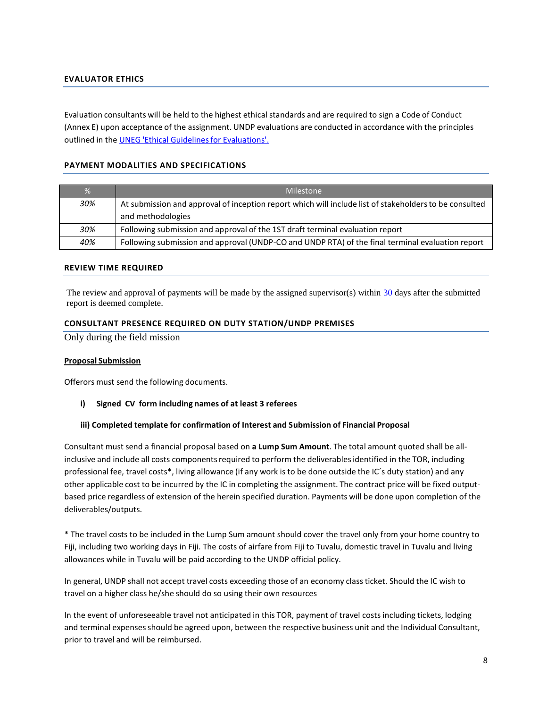## **EVALUATOR ETHICS**

Evaluation consultants will be held to the highest ethical standards and are required to sign a Code of Conduct (Annex E) upon acceptance of the assignment. UNDP evaluations are conducted in accordance with the principles outlined in the UNEG 'Ethical Guidelines for Evaluations'.

#### **PAYMENT MODALITIES AND SPECIFICATIONS**

| $\frac{9}{6}$ | Milestone                                                                                                                   |
|---------------|-----------------------------------------------------------------------------------------------------------------------------|
| 30%           | At submission and approval of inception report which will include list of stakeholders to be consulted<br>and methodologies |
| 30%           | Following submission and approval of the 1ST draft terminal evaluation report                                               |
| 40%           | Following submission and approval (UNDP-CO and UNDP RTA) of the final terminal evaluation report                            |

#### **REVIEW TIME REQUIRED**

The review and approval of payments will be made by the assigned supervisor(s) within 30 days after the submitted report is deemed complete.

#### **CONSULTANT PRESENCE REQUIRED ON DUTY STATION/UNDP PREMISES**

Only during the field mission

#### **Proposal Submission**

Offerors must send the following documents.

#### **i) Signed CV form including names of at least 3 referees**

#### **iii) Completed template for confirmation of Interest and Submission of Financial Proposal**

Consultant must send a financial proposal based on **a Lump Sum Amount**. The total amount quoted shall be allinclusive and include all costs components required to perform the deliverables identified in the TOR, including professional fee, travel costs\*, living allowance (if any work is to be done outside the IC´s duty station) and any other applicable cost to be incurred by the IC in completing the assignment. The contract price will be fixed outputbased price regardless of extension of the herein specified duration. Payments will be done upon completion of the deliverables/outputs.

\* The travel costs to be included in the Lump Sum amount should cover the travel only from your home country to Fiji, including two working days in Fiji. The costs of airfare from Fiji to Tuvalu, domestic travel in Tuvalu and living allowances while in Tuvalu will be paid according to the UNDP official policy.

In general, UNDP shall not accept travel costs exceeding those of an economy class ticket. Should the IC wish to travel on a higher class he/she should do so using their own resources

In the event of unforeseeable travel not anticipated in this TOR, payment of travel costs including tickets, lodging and terminal expensesshould be agreed upon, between the respective business unit and the Individual Consultant, prior to travel and will be reimbursed.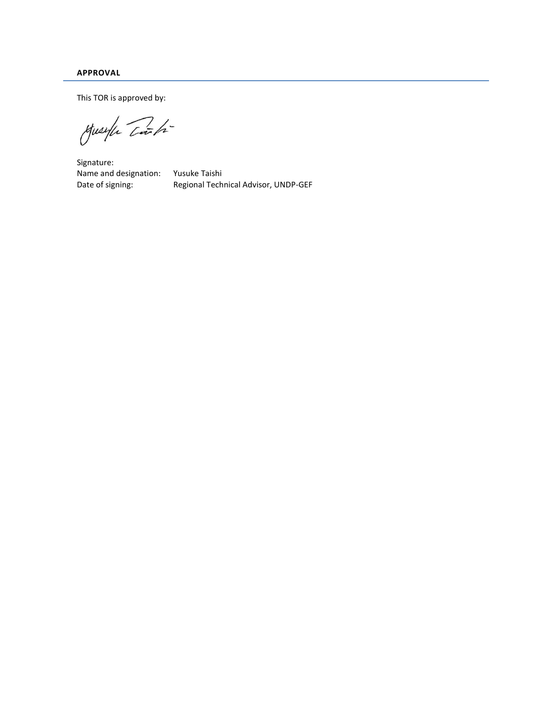**APPROVAL**

This TOR is approved by:

Muselfe Carti

Signature: Name and designation: Yusuke Taishi Date of signing: Regional Technical Advisor, UNDP-GEF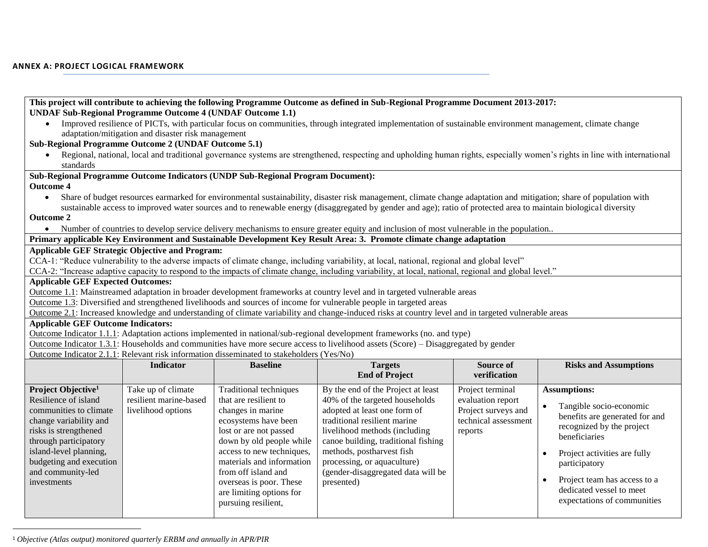| <b>UNDAF Sub-Regional Programme Outcome 4 (UNDAF Outcome 1.1)</b>                                                                                                                                                                                                           |                                                    |                                                                                          | This project will contribute to achieving the following Programme Outcome as defined in Sub-Regional Programme Document 2013-2017:                                         |                      |                                               |  |
|-----------------------------------------------------------------------------------------------------------------------------------------------------------------------------------------------------------------------------------------------------------------------------|----------------------------------------------------|------------------------------------------------------------------------------------------|----------------------------------------------------------------------------------------------------------------------------------------------------------------------------|----------------------|-----------------------------------------------|--|
|                                                                                                                                                                                                                                                                             | adaptation/mitigation and disaster risk management |                                                                                          | Improved resilience of PICTs, with particular focus on communities, through integrated implementation of sustainable environment management, climate change                |                      |                                               |  |
| Sub-Regional Programme Outcome 2 (UNDAF Outcome 5.1)                                                                                                                                                                                                                        |                                                    |                                                                                          |                                                                                                                                                                            |                      |                                               |  |
| $\bullet$                                                                                                                                                                                                                                                                   |                                                    |                                                                                          | Regional, national, local and traditional governance systems are strengthened, respecting and upholding human rights, especially women's rights in line with international |                      |                                               |  |
| standards                                                                                                                                                                                                                                                                   |                                                    |                                                                                          |                                                                                                                                                                            |                      |                                               |  |
|                                                                                                                                                                                                                                                                             |                                                    | Sub-Regional Programme Outcome Indicators (UNDP Sub-Regional Program Document):          |                                                                                                                                                                            |                      |                                               |  |
| <b>Outcome 4</b>                                                                                                                                                                                                                                                            |                                                    |                                                                                          |                                                                                                                                                                            |                      |                                               |  |
| $\bullet$                                                                                                                                                                                                                                                                   |                                                    |                                                                                          | Share of budget resources earmarked for environmental sustainability, disaster risk management, climate change adaptation and mitigation; share of population with         |                      |                                               |  |
|                                                                                                                                                                                                                                                                             |                                                    |                                                                                          | sustainable access to improved water sources and to renewable energy (disaggregated by gender and age); ratio of protected area to maintain biological diversity           |                      |                                               |  |
| <b>Outcome 2</b>                                                                                                                                                                                                                                                            |                                                    |                                                                                          |                                                                                                                                                                            |                      |                                               |  |
|                                                                                                                                                                                                                                                                             |                                                    |                                                                                          | • Number of countries to develop service delivery mechanisms to ensure greater equity and inclusion of most vulnerable in the population                                   |                      |                                               |  |
|                                                                                                                                                                                                                                                                             |                                                    |                                                                                          | Primary applicable Key Environment and Sustainable Development Key Result Area: 3. Promote climate change adaptation                                                       |                      |                                               |  |
| <b>Applicable GEF Strategic Objective and Program:</b>                                                                                                                                                                                                                      |                                                    |                                                                                          |                                                                                                                                                                            |                      |                                               |  |
|                                                                                                                                                                                                                                                                             |                                                    |                                                                                          | CCA-1: "Reduce vulnerability to the adverse impacts of climate change, including variability, at local, national, regional and global level"                               |                      |                                               |  |
|                                                                                                                                                                                                                                                                             |                                                    |                                                                                          | CCA-2: "Increase adaptive capacity to respond to the impacts of climate change, including variability, at local, national, regional and global level."                     |                      |                                               |  |
| <b>Applicable GEF Expected Outcomes:</b>                                                                                                                                                                                                                                    |                                                    |                                                                                          |                                                                                                                                                                            |                      |                                               |  |
|                                                                                                                                                                                                                                                                             |                                                    |                                                                                          | Outcome 1.1: Mainstreamed adaptation in broader development frameworks at country level and in targeted vulnerable areas                                                   |                      |                                               |  |
|                                                                                                                                                                                                                                                                             |                                                    |                                                                                          |                                                                                                                                                                            |                      |                                               |  |
| Outcome 1.3: Diversified and strengthened livelihoods and sources of income for vulnerable people in targeted areas<br>Outcome 2.1: Increased knowledge and understanding of climate variability and change-induced risks at country level and in targeted vulnerable areas |                                                    |                                                                                          |                                                                                                                                                                            |                      |                                               |  |
|                                                                                                                                                                                                                                                                             |                                                    |                                                                                          |                                                                                                                                                                            |                      |                                               |  |
| <b>Applicable GEF Outcome Indicators:</b>                                                                                                                                                                                                                                   |                                                    |                                                                                          |                                                                                                                                                                            |                      |                                               |  |
|                                                                                                                                                                                                                                                                             |                                                    |                                                                                          | Outcome Indicator 1.1.1: Adaptation actions implemented in national/sub-regional development frameworks (no. and type)                                                     |                      |                                               |  |
|                                                                                                                                                                                                                                                                             |                                                    |                                                                                          | Outcome Indicator 1.3.1: Households and communities have more secure access to livelihood assets (Score) – Disaggregated by gender                                         |                      |                                               |  |
|                                                                                                                                                                                                                                                                             |                                                    | Outcome Indicator 2.1.1: Relevant risk information disseminated to stakeholders (Yes/No) |                                                                                                                                                                            |                      |                                               |  |
|                                                                                                                                                                                                                                                                             | <b>Indicator</b>                                   | <b>Baseline</b>                                                                          | <b>Targets</b>                                                                                                                                                             | Source of            | <b>Risks and Assumptions</b>                  |  |
|                                                                                                                                                                                                                                                                             |                                                    |                                                                                          | <b>End of Project</b>                                                                                                                                                      | verification         |                                               |  |
| Project Objective <sup>1</sup>                                                                                                                                                                                                                                              | Take up of climate                                 | <b>Traditional techniques</b>                                                            | By the end of the Project at least                                                                                                                                         | Project terminal     | <b>Assumptions:</b>                           |  |
| Resilience of island                                                                                                                                                                                                                                                        | resilient marine-based                             | that are resilient to                                                                    | 40% of the targeted households                                                                                                                                             | evaluation report    |                                               |  |
| communities to climate                                                                                                                                                                                                                                                      | livelihood options                                 | changes in marine                                                                        | adopted at least one form of                                                                                                                                               | Project surveys and  | Tangible socio-economic                       |  |
| change variability and                                                                                                                                                                                                                                                      |                                                    | ecosystems have been                                                                     | traditional resilient marine                                                                                                                                               | technical assessment | benefits are generated for and                |  |
| risks is strengthened                                                                                                                                                                                                                                                       |                                                    | lost or are not passed                                                                   | livelihood methods (including                                                                                                                                              | reports              | recognized by the project                     |  |
| through participatory                                                                                                                                                                                                                                                       |                                                    | down by old people while                                                                 | canoe building, traditional fishing                                                                                                                                        |                      | beneficiaries                                 |  |
| island-level planning,                                                                                                                                                                                                                                                      |                                                    | access to new techniques,                                                                | methods, postharvest fish                                                                                                                                                  |                      |                                               |  |
| budgeting and execution                                                                                                                                                                                                                                                     |                                                    | materials and information                                                                | processing, or aquaculture)                                                                                                                                                |                      | Project activities are fully<br>participatory |  |
| and community-led                                                                                                                                                                                                                                                           |                                                    | from off island and                                                                      | (gender-disaggregated data will be                                                                                                                                         |                      |                                               |  |
| investments                                                                                                                                                                                                                                                                 |                                                    | overseas is poor. These                                                                  | presented)                                                                                                                                                                 |                      | Project team has access to a                  |  |
|                                                                                                                                                                                                                                                                             |                                                    | are limiting options for                                                                 |                                                                                                                                                                            |                      | dedicated vessel to meet                      |  |
|                                                                                                                                                                                                                                                                             |                                                    | pursuing resilient,                                                                      |                                                                                                                                                                            |                      | expectations of communities                   |  |

<sup>1</sup> *Objective (Atlas output) monitored quarterly ERBM and annually in APR/PIR*

l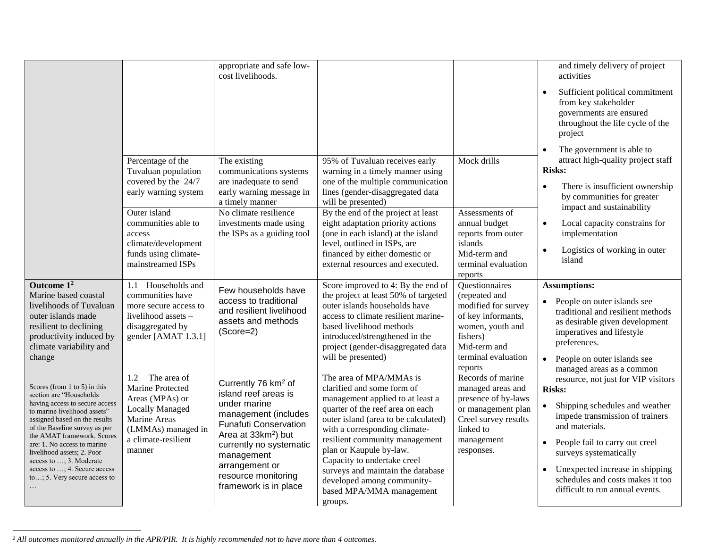|                                                                                                                                                                                                                                                                                                                                                                                                    |                                                                                                                                                                                                              | appropriate and safe low-<br>cost livelihoods.                                                                                                                                                                                                                                |                                                                                                                                                                                                                                                                                                                                                                                                              |                                                                                                                                                                       | and timely delivery of project<br>activities                                                                                                                                                                                                                                                                                                   |
|----------------------------------------------------------------------------------------------------------------------------------------------------------------------------------------------------------------------------------------------------------------------------------------------------------------------------------------------------------------------------------------------------|--------------------------------------------------------------------------------------------------------------------------------------------------------------------------------------------------------------|-------------------------------------------------------------------------------------------------------------------------------------------------------------------------------------------------------------------------------------------------------------------------------|--------------------------------------------------------------------------------------------------------------------------------------------------------------------------------------------------------------------------------------------------------------------------------------------------------------------------------------------------------------------------------------------------------------|-----------------------------------------------------------------------------------------------------------------------------------------------------------------------|------------------------------------------------------------------------------------------------------------------------------------------------------------------------------------------------------------------------------------------------------------------------------------------------------------------------------------------------|
|                                                                                                                                                                                                                                                                                                                                                                                                    |                                                                                                                                                                                                              |                                                                                                                                                                                                                                                                               |                                                                                                                                                                                                                                                                                                                                                                                                              |                                                                                                                                                                       | Sufficient political commitment<br>from key stakeholder<br>governments are ensured<br>throughout the life cycle of the<br>project                                                                                                                                                                                                              |
|                                                                                                                                                                                                                                                                                                                                                                                                    | Percentage of the<br>Tuvaluan population<br>covered by the 24/7<br>early warning system<br>Outer island<br>communities able to<br>access<br>climate/development<br>funds using climate-<br>mainstreamed ISPs | The existing<br>communications systems<br>are inadequate to send<br>early warning message in<br>a timely manner<br>No climate resilience<br>investments made using<br>the ISPs as a guiding tool                                                                              | 95% of Tuvaluan receives early<br>warning in a timely manner using<br>one of the multiple communication<br>lines (gender-disaggregated data<br>will be presented)<br>By the end of the project at least<br>eight adaptation priority actions<br>(one in each island) at the island<br>level, outlined in ISPs, are<br>financed by either domestic or<br>external resources and executed.                     | Mock drills<br>Assessments of<br>annual budget<br>reports from outer<br>islands<br>Mid-term and<br>terminal evaluation<br>reports                                     | The government is able to<br>$\bullet$<br>attract high-quality project staff<br><b>Risks:</b><br>There is insufficient ownership<br>$\bullet$<br>by communities for greater<br>impact and sustainability<br>Local capacity constrains for<br>$\bullet$<br>implementation<br>Logistics of working in outer<br>island                            |
| Outcome $12$<br>Marine based coastal<br>livelihoods of Tuvaluan<br>outer islands made<br>resilient to declining<br>productivity induced by<br>climate variability and<br>change                                                                                                                                                                                                                    | 1.1 Households and<br>communities have<br>more secure access to<br>livelihood assets -<br>disaggregated by<br>gender [AMAT 1.3.1]                                                                            | Few households have<br>access to traditional<br>and resilient livelihood<br>assets and methods<br>$(Score=2)$                                                                                                                                                                 | Score improved to 4: By the end of<br>the project at least 50% of targeted<br>outer islands households have<br>access to climate resilient marine-<br>based livelihood methods<br>introduced/strengthened in the<br>project (gender-disaggregated data<br>will be presented)                                                                                                                                 | <b>Ouestionnaires</b><br>(repeated and<br>modified for survey<br>of key informants,<br>women, youth and<br>fishers)<br>Mid-term and<br>terminal evaluation<br>reports | <b>Assumptions:</b><br>People on outer islands see<br>traditional and resilient methods<br>as desirable given development<br>imperatives and lifestyle<br>preferences.<br>• People on outer islands see                                                                                                                                        |
| Scores (from $1$ to $5$ ) in this<br>section are "Households<br>having access to secure access<br>to marine livelihood assets"<br>assigned based on the results<br>of the Baseline survey as per<br>the AMAT framework. Scores<br>are: 1. No access to marine<br>livelihood assets; 2. Poor<br>access to ; 3. Moderate<br>access to ; 4. Secure access<br>to; 5. Very secure access to<br>$\cdots$ | 1.2 The area of<br>Marine Protected<br>Areas (MPAs) or<br><b>Locally Managed</b><br>Marine Areas<br>(LMMAs) managed in<br>a climate-resilient<br>manner                                                      | Currently 76 km <sup>2</sup> of<br>island reef areas is<br>under marine<br>management (includes<br><b>Funafuti Conservation</b><br>Area at 33km <sup>2</sup> ) but<br>currently no systematic<br>management<br>arrangement or<br>resource monitoring<br>framework is in place | The area of MPA/MMAs is<br>clarified and some form of<br>management applied to at least a<br>quarter of the reef area on each<br>outer island (area to be calculated)<br>with a corresponding climate-<br>resilient community management<br>plan or Kaupule by-law.<br>Capacity to undertake creel<br>surveys and maintain the database<br>developed among community-<br>based MPA/MMA management<br>groups. | Records of marine<br>managed areas and<br>presence of by-laws<br>or management plan<br>Creel survey results<br>linked to<br>management<br>responses.                  | managed areas as a common<br>resource, not just for VIP visitors<br><b>Risks:</b><br>Shipping schedules and weather<br>impede transmission of trainers<br>and materials.<br>People fail to carry out creel<br>surveys systematically<br>Unexpected increase in shipping<br>schedules and costs makes it too<br>difficult to run annual events. |

*<sup>2</sup> All outcomes monitored annually in the APR/PIR. It is highly recommended not to have more than 4 outcomes.*

l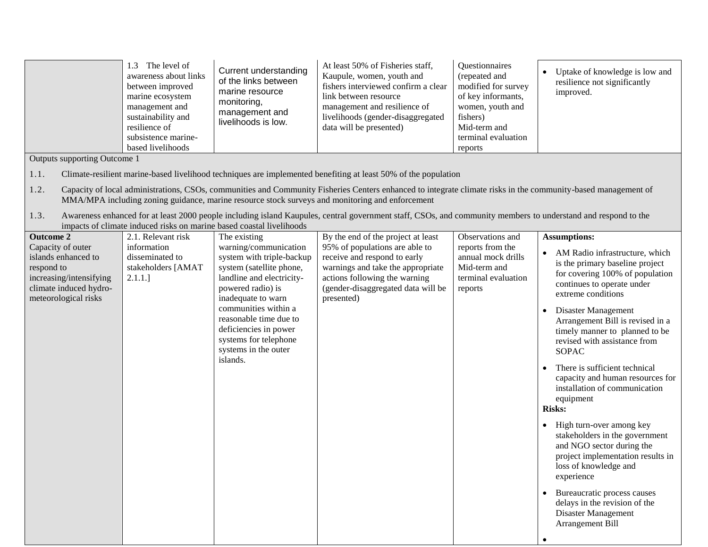|                                                                                                                                     | 1.3 The level of<br>awareness about links<br>between improved<br>marine ecosystem<br>management and<br>sustainability and<br>resilience of<br>subsistence marine-<br>based livelihoods | Current understanding<br>of the links between<br>marine resource<br>monitoring,<br>management and<br>livelihoods is low.                                                                                                                                                                       | At least 50% of Fisheries staff,<br>Kaupule, women, youth and<br>fishers interviewed confirm a clear<br>link between resource<br>management and resilience of<br>livelihoods (gender-disaggregated<br>data will be presented)                                    | Questionnaires<br>(repeated and<br>modified for survey<br>of key informants,<br>women, youth and<br>fishers)<br>Mid-term and<br>terminal evaluation<br>reports | Uptake of knowledge is low and<br>resilience not significantly<br>improved.                                                                                                                                                                                                                                                                                                                                                                              |
|-------------------------------------------------------------------------------------------------------------------------------------|----------------------------------------------------------------------------------------------------------------------------------------------------------------------------------------|------------------------------------------------------------------------------------------------------------------------------------------------------------------------------------------------------------------------------------------------------------------------------------------------|------------------------------------------------------------------------------------------------------------------------------------------------------------------------------------------------------------------------------------------------------------------|----------------------------------------------------------------------------------------------------------------------------------------------------------------|----------------------------------------------------------------------------------------------------------------------------------------------------------------------------------------------------------------------------------------------------------------------------------------------------------------------------------------------------------------------------------------------------------------------------------------------------------|
| Outputs supporting Outcome 1                                                                                                        |                                                                                                                                                                                        |                                                                                                                                                                                                                                                                                                |                                                                                                                                                                                                                                                                  |                                                                                                                                                                |                                                                                                                                                                                                                                                                                                                                                                                                                                                          |
| 1.1.                                                                                                                                |                                                                                                                                                                                        |                                                                                                                                                                                                                                                                                                | Climate-resilient marine-based livelihood techniques are implemented benefiting at least 50% of the population                                                                                                                                                   |                                                                                                                                                                |                                                                                                                                                                                                                                                                                                                                                                                                                                                          |
| 1.2.                                                                                                                                |                                                                                                                                                                                        |                                                                                                                                                                                                                                                                                                | Capacity of local administrations, CSOs, communities and Community Fisheries Centers enhanced to integrate climate risks in the community-based management of<br>MMA/MPA including zoning guidance, marine resource stock surveys and monitoring and enforcement |                                                                                                                                                                |                                                                                                                                                                                                                                                                                                                                                                                                                                                          |
| 1.3.                                                                                                                                |                                                                                                                                                                                        | impacts of climate induced risks on marine based coastal livelihoods                                                                                                                                                                                                                           | Awareness enhanced for at least 2000 people including island Kaupules, central government staff, CSOs, and community members to understand and respond to the                                                                                                    |                                                                                                                                                                |                                                                                                                                                                                                                                                                                                                                                                                                                                                          |
| <b>Outcome 2</b>                                                                                                                    | 2.1. Relevant risk                                                                                                                                                                     | The existing                                                                                                                                                                                                                                                                                   | By the end of the project at least                                                                                                                                                                                                                               | Observations and                                                                                                                                               | <b>Assumptions:</b>                                                                                                                                                                                                                                                                                                                                                                                                                                      |
| Capacity of outer<br>islands enhanced to<br>respond to<br>increasing/intensifying<br>climate induced hydro-<br>meteorological risks | information<br>disseminated to<br>stakeholders [AMAT<br>2.1.1.                                                                                                                         | warning/communication<br>system with triple-backup<br>system (satellite phone,<br>landline and electricity-<br>powered radio) is<br>inadequate to warn<br>communities within a<br>reasonable time due to<br>deficiencies in power<br>systems for telephone<br>systems in the outer<br>islands. | 95% of populations are able to<br>receive and respond to early<br>warnings and take the appropriate<br>actions following the warning<br>(gender-disaggregated data will be<br>presented)                                                                         | reports from the<br>annual mock drills<br>Mid-term and<br>terminal evaluation<br>reports                                                                       | • AM Radio infrastructure, which<br>is the primary baseline project<br>for covering 100% of population<br>continues to operate under<br>extreme conditions<br>Disaster Management<br>$\bullet$<br>Arrangement Bill is revised in a<br>timely manner to planned to be<br>revised with assistance from<br><b>SOPAC</b><br>There is sufficient technical<br>capacity and human resources for<br>installation of communication<br>equipment<br><b>Risks:</b> |
|                                                                                                                                     |                                                                                                                                                                                        |                                                                                                                                                                                                                                                                                                |                                                                                                                                                                                                                                                                  |                                                                                                                                                                | • High turn-over among key<br>stakeholders in the government<br>and NGO sector during the<br>project implementation results in<br>loss of knowledge and<br>experience<br>Bureaucratic process causes<br>delays in the revision of the<br>Disaster Management<br>Arrangement Bill                                                                                                                                                                         |
|                                                                                                                                     |                                                                                                                                                                                        |                                                                                                                                                                                                                                                                                                |                                                                                                                                                                                                                                                                  |                                                                                                                                                                |                                                                                                                                                                                                                                                                                                                                                                                                                                                          |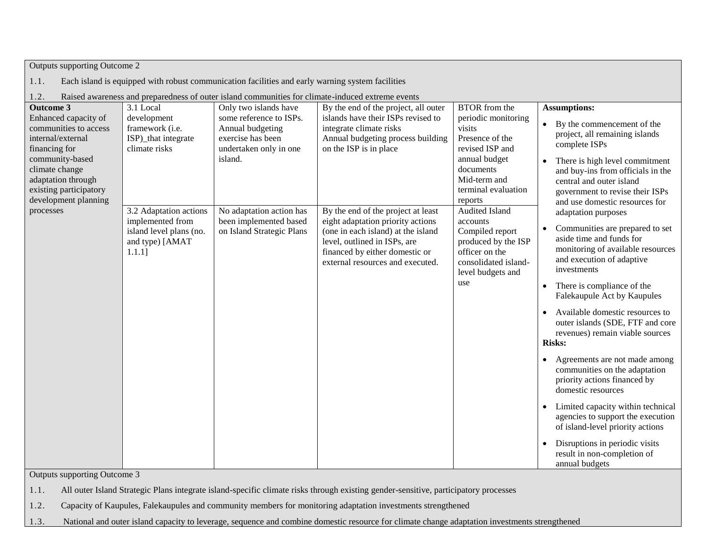| Outputs supporting Outcome 2                                                                                                                                                                                         |                                                                                                       |                                                                                                                                |                                                                                                                                                                                                                     |                                                                                                                                                                             |                                                                                                                                                                                                                                                                                                                                                                                                                                                                                                                                      |  |
|----------------------------------------------------------------------------------------------------------------------------------------------------------------------------------------------------------------------|-------------------------------------------------------------------------------------------------------|--------------------------------------------------------------------------------------------------------------------------------|---------------------------------------------------------------------------------------------------------------------------------------------------------------------------------------------------------------------|-----------------------------------------------------------------------------------------------------------------------------------------------------------------------------|--------------------------------------------------------------------------------------------------------------------------------------------------------------------------------------------------------------------------------------------------------------------------------------------------------------------------------------------------------------------------------------------------------------------------------------------------------------------------------------------------------------------------------------|--|
| 1.1.<br>Each island is equipped with robust communication facilities and early warning system facilities                                                                                                             |                                                                                                       |                                                                                                                                |                                                                                                                                                                                                                     |                                                                                                                                                                             |                                                                                                                                                                                                                                                                                                                                                                                                                                                                                                                                      |  |
| Raised awareness and preparedness of outer island communities for climate-induced extreme events<br>1.2.                                                                                                             |                                                                                                       |                                                                                                                                |                                                                                                                                                                                                                     |                                                                                                                                                                             |                                                                                                                                                                                                                                                                                                                                                                                                                                                                                                                                      |  |
| <b>Outcome 3</b><br>Enhanced capacity of<br>communities to access<br>internal/external<br>financing for<br>community-based<br>climate change<br>adaptation through<br>existing participatory<br>development planning | 3.1 Local<br>development<br>framework (i.e.<br>ISP)_that integrate<br>climate risks                   | Only two islands have<br>some reference to ISPs.<br>Annual budgeting<br>exercise has been<br>undertaken only in one<br>island. | By the end of the project, all outer<br>islands have their ISPs revised to<br>integrate climate risks<br>Annual budgeting process building<br>on the ISP is in place                                                | <b>BTOR</b> from the<br>periodic monitoring<br>visits<br>Presence of the<br>revised ISP and<br>annual budget<br>documents<br>Mid-term and<br>terminal evaluation<br>reports | <b>Assumptions:</b><br>• By the commencement of the<br>project, all remaining islands<br>complete ISPs<br>There is high level commitment<br>$\bullet$<br>and buy-ins from officials in the<br>central and outer island<br>government to revise their ISPs                                                                                                                                                                                                                                                                            |  |
| processes                                                                                                                                                                                                            | 3.2 Adaptation actions<br>implemented from<br>island level plans (no.<br>and type) [AMAT<br>$1.1.1$ ] | No adaptation action has<br>been implemented based<br>on Island Strategic Plans                                                | By the end of the project at least<br>eight adaptation priority actions<br>(one in each island) at the island<br>level, outlined in ISPs, are<br>financed by either domestic or<br>external resources and executed. | Audited Island<br>accounts<br>Compiled report<br>produced by the ISP<br>officer on the<br>consolidated island-<br>level budgets and<br>use                                  | and use domestic resources for<br>adaptation purposes<br>Communities are prepared to set<br>$\bullet$<br>aside time and funds for<br>monitoring of available resources<br>and execution of adaptive<br>investments<br>• There is compliance of the<br>Falekaupule Act by Kaupules<br>Available domestic resources to<br>outer islands (SDE, FTF and core<br>revenues) remain viable sources<br><b>Risks:</b><br>Agreements are not made among<br>communities on the adaptation<br>priority actions financed by<br>domestic resources |  |
|                                                                                                                                                                                                                      |                                                                                                       |                                                                                                                                |                                                                                                                                                                                                                     |                                                                                                                                                                             | Limited capacity within technical<br>agencies to support the execution<br>of island-level priority actions<br>Disruptions in periodic visits<br>$\bullet$<br>result in non-completion of                                                                                                                                                                                                                                                                                                                                             |  |
| annual budgets<br>Outputs supporting Outcome 3                                                                                                                                                                       |                                                                                                       |                                                                                                                                |                                                                                                                                                                                                                     |                                                                                                                                                                             |                                                                                                                                                                                                                                                                                                                                                                                                                                                                                                                                      |  |

1.1. All outer Island Strategic Plans integrate island-specific climate risks through existing gender-sensitive, participatory processes

1.2. Capacity of Kaupules, Falekaupules and community members for monitoring adaptation investments strengthened

1.3. National and outer island capacity to leverage, sequence and combine domestic resource for climate change adaptation investments strengthened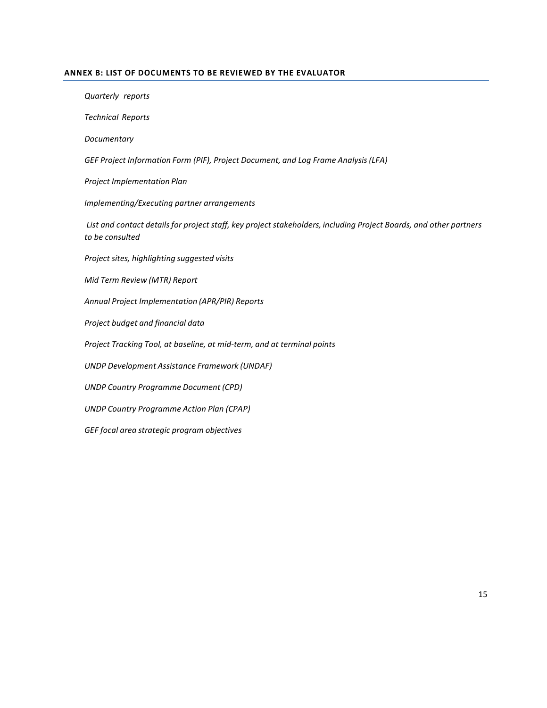#### **ANNEX B: LIST OF DOCUMENTS TO BE REVIEWED BY THE EVALUATOR**

*Quarterly reports* 

*Technical Reports* 

*Documentary*

*GEF Project Information Form (PIF), Project Document, and Log Frame Analysis(LFA)* 

*Project Implementation Plan*

*Implementing/Executing partner arrangements*

*List and contact detailsfor project staff, key project stakeholders, including Project Boards, and other partners to be consulted*

*Project sites, highlighting suggested visits*

*Mid Term Review (MTR) Report*

*Annual Project Implementation (APR/PIR) Reports*

*Project budget and financial data*

*Project Tracking Tool, at baseline, at mid-term, and at terminal points*

*UNDP Development Assistance Framework (UNDAF)* 

*UNDP Country Programme Document (CPD)*

*UNDP Country Programme Action Plan (CPAP)*

*GEF focal area strategic program objectives*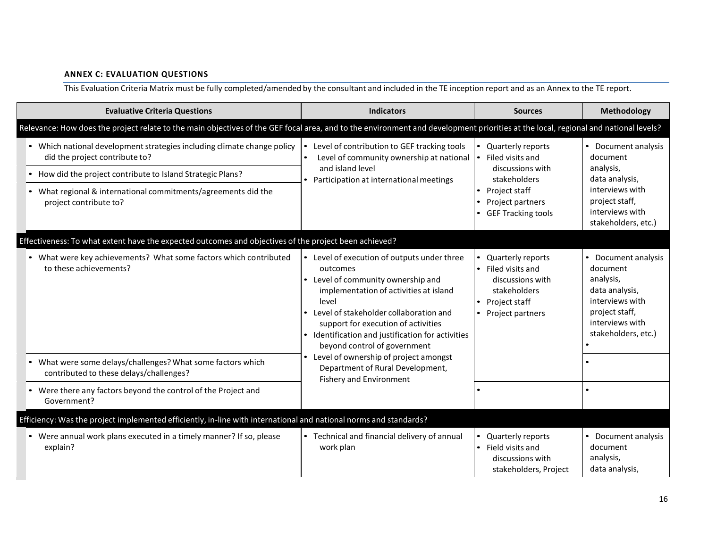## **ANNEX C: EVALUATION QUESTIONS**

This Evaluation Criteria Matrix must be fully completed/amended by the consultant and included in the TE inception report and as an Annex to the TE report.

| <b>Evaluative Criteria Questions</b>                                                                                                                                               | <b>Indicators</b>                                                                                                                                                                                                                                                                                                                                                                                                                         | <b>Sources</b>                                                                                                                  | <b>Methodology</b>                                                                                                                          |
|------------------------------------------------------------------------------------------------------------------------------------------------------------------------------------|-------------------------------------------------------------------------------------------------------------------------------------------------------------------------------------------------------------------------------------------------------------------------------------------------------------------------------------------------------------------------------------------------------------------------------------------|---------------------------------------------------------------------------------------------------------------------------------|---------------------------------------------------------------------------------------------------------------------------------------------|
| Relevance: How does the project relate to the main objectives of the GEF focal area, and to the environment and development priorities at the local, regional and national levels? |                                                                                                                                                                                                                                                                                                                                                                                                                                           |                                                                                                                                 |                                                                                                                                             |
| • Which national development strategies including climate change policy<br>did the project contribute to?                                                                          | Level of contribution to GEF tracking tools<br>Level of community ownership at national                                                                                                                                                                                                                                                                                                                                                   | Quarterly reports<br>• Filed visits and                                                                                         | • Document analysis<br>document                                                                                                             |
| • How did the project contribute to Island Strategic Plans?                                                                                                                        | and island level<br>• Participation at international meetings                                                                                                                                                                                                                                                                                                                                                                             | discussions with<br>stakeholders                                                                                                | analysis,<br>data analysis,                                                                                                                 |
| • What regional & international commitments/agreements did the<br>project contribute to?                                                                                           |                                                                                                                                                                                                                                                                                                                                                                                                                                           | • Project staff<br>Project partners<br>$\bullet$<br><b>GEF Tracking tools</b>                                                   | interviews with<br>project staff,<br>interviews with<br>stakeholders, etc.)                                                                 |
| Effectiveness: To what extent have the expected outcomes and objectives of the project been achieved?                                                                              |                                                                                                                                                                                                                                                                                                                                                                                                                                           |                                                                                                                                 |                                                                                                                                             |
| • What were key achievements? What some factors which contributed<br>to these achievements?                                                                                        | • Level of execution of outputs under three<br>outcomes<br>• Level of community ownership and<br>implementation of activities at island<br>level<br>• Level of stakeholder collaboration and<br>support for execution of activities<br>• Identification and justification for activities<br>beyond control of government<br>• Level of ownership of project amongst<br>Department of Rural Development,<br><b>Fishery and Environment</b> | Quarterly reports<br>• Filed visits and<br>discussions with<br>stakeholders<br>• Project staff<br>Project partners<br>$\bullet$ | Document analysis<br>document<br>analysis,<br>data analysis,<br>interviews with<br>project staff,<br>interviews with<br>stakeholders, etc.) |
| • What were some delays/challenges? What some factors which<br>contributed to these delays/challenges?                                                                             |                                                                                                                                                                                                                                                                                                                                                                                                                                           |                                                                                                                                 |                                                                                                                                             |
| • Were there any factors beyond the control of the Project and<br>Government?                                                                                                      |                                                                                                                                                                                                                                                                                                                                                                                                                                           |                                                                                                                                 |                                                                                                                                             |
| Efficiency: Was the project implemented efficiently, in-line with international and national norms and standards?                                                                  |                                                                                                                                                                                                                                                                                                                                                                                                                                           |                                                                                                                                 |                                                                                                                                             |
| • Were annual work plans executed in a timely manner? If so, please<br>explain?                                                                                                    | • Technical and financial delivery of annual<br>work plan                                                                                                                                                                                                                                                                                                                                                                                 | Quarterly reports<br>• Field visits and<br>discussions with<br>stakeholders, Project                                            | • Document analysis<br>document<br>analysis,<br>data analysis,                                                                              |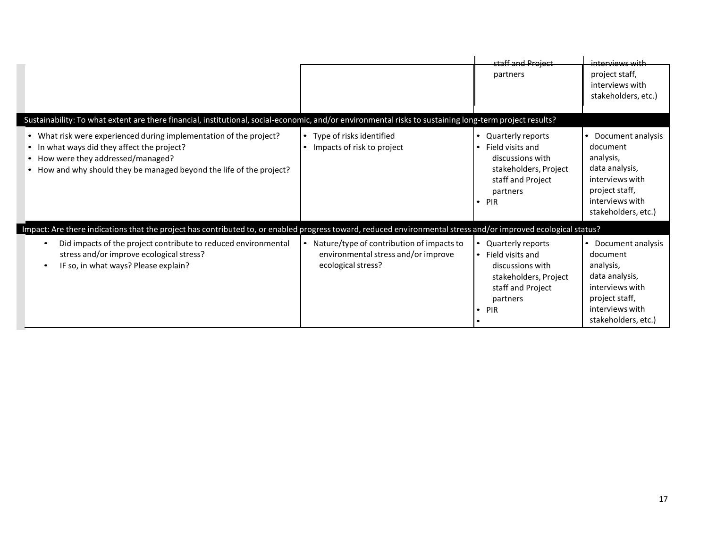|                                                                                                                                                                                                                                 |                                                                                                        | staff and Project<br>partners                                                                                                               | interviews with<br>project staff,<br>interviews with<br>stakeholders, etc.)                                                                   |
|---------------------------------------------------------------------------------------------------------------------------------------------------------------------------------------------------------------------------------|--------------------------------------------------------------------------------------------------------|---------------------------------------------------------------------------------------------------------------------------------------------|-----------------------------------------------------------------------------------------------------------------------------------------------|
| Sustainability: To what extent are there financial, institutional, social-economic, and/or environmental risks to sustaining long-term project results?                                                                         |                                                                                                        |                                                                                                                                             |                                                                                                                                               |
| • What risk were experienced during implementation of the project?<br>• In what ways did they affect the project?<br>• How were they addressed/managed?<br>• How and why should they be managed beyond the life of the project? | • Type of risks identified<br>Impacts of risk to project                                               | • Quarterly reports<br>Field visits and<br>discussions with<br>stakeholders, Project<br>staff and Project<br>partners<br>PIR<br>$\bullet$   | • Document analysis<br>document<br>analysis,<br>data analysis,<br>interviews with<br>project staff,<br>interviews with<br>stakeholders, etc.) |
| Impact: Are there indications that the project has contributed to, or enabled progress toward, reduced environmental stress and/or improved ecological status?                                                                  |                                                                                                        |                                                                                                                                             |                                                                                                                                               |
| Did impacts of the project contribute to reduced environmental<br>stress and/or improve ecological stress?<br>IF so, in what ways? Please explain?                                                                              | Nature/type of contribution of impacts to<br>environmental stress and/or improve<br>ecological stress? | • Quarterly reports<br>• Field visits and<br>discussions with<br>stakeholders, Project<br>staff and Project<br>partners<br>PIR<br>$\bullet$ | • Document analysis<br>document<br>analysis,<br>data analysis,<br>interviews with<br>project staff,<br>interviews with<br>stakeholders, etc.) |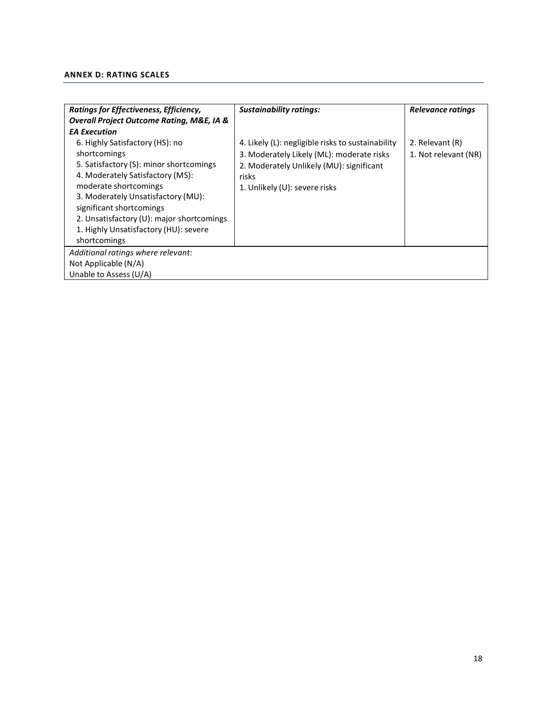## **ANNEX D: RATING SCALES**

| Ratings for Effectiveness, Efficiency,                   | <b>Sustainability ratings:</b>                    | Relevance ratings    |  |  |  |
|----------------------------------------------------------|---------------------------------------------------|----------------------|--|--|--|
| <b>Overall Project Outcome Rating, M&amp;E, IA &amp;</b> |                                                   |                      |  |  |  |
| <b>EA Execution</b>                                      |                                                   |                      |  |  |  |
| 6. Highly Satisfactory (HS): no                          | 4. Likely (L): negligible risks to sustainability | 2. Relevant (R)      |  |  |  |
| shortcomings                                             | 3. Moderately Likely (ML): moderate risks         | 1. Not relevant (NR) |  |  |  |
| 5. Satisfactory (S): minor shortcomings                  | 2. Moderately Unlikely (MU): significant          |                      |  |  |  |
| 4. Moderately Satisfactory (MS):                         | risks                                             |                      |  |  |  |
| moderate shortcomings                                    | 1. Unlikely (U): severe risks                     |                      |  |  |  |
| 3. Moderately Unsatisfactory (MU):                       |                                                   |                      |  |  |  |
| significant shortcomings                                 |                                                   |                      |  |  |  |
| 2. Unsatisfactory (U): major shortcomings                |                                                   |                      |  |  |  |
| 1. Highly Unsatisfactory (HU): severe                    |                                                   |                      |  |  |  |
| shortcomings                                             |                                                   |                      |  |  |  |
| Additional ratings where relevant:                       |                                                   |                      |  |  |  |
| Not Applicable (N/A)                                     |                                                   |                      |  |  |  |
| Unable to Assess (U/A)                                   |                                                   |                      |  |  |  |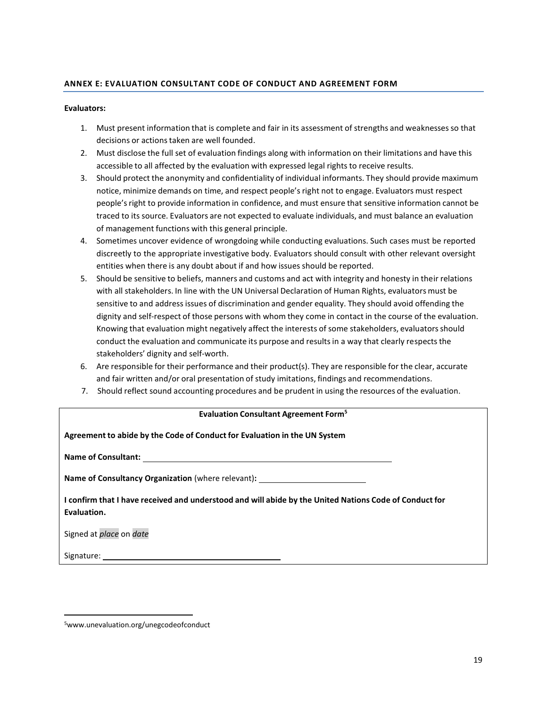## **ANNEX E: EVALUATION CONSULTANT CODE OF CONDUCT AND AGREEMENT FORM**

#### **Evaluators:**

- 1. Must present information that is complete and fair in its assessment of strengths and weaknessesso that decisions or actions taken are well founded.
- 2. Must disclose the full set of evaluation findings along with information on their limitations and have this accessible to all affected by the evaluation with expressed legal rights to receive results.
- 3. Should protect the anonymity and confidentiality of individual informants. They should provide maximum notice, minimize demands on time, and respect people'sright not to engage. Evaluators must respect people's right to provide information in confidence, and must ensure that sensitive information cannot be traced to its source. Evaluators are not expected to evaluate individuals, and must balance an evaluation of management functions with this general principle.
- 4. Sometimes uncover evidence of wrongdoing while conducting evaluations. Such cases must be reported discreetly to the appropriate investigative body. Evaluators should consult with other relevant oversight entities when there is any doubt about if and how issues should be reported.
- 5. Should be sensitive to beliefs, manners and customs and act with integrity and honesty in their relations with all stakeholders. In line with the UN Universal Declaration of Human Rights, evaluators must be sensitive to and addressissues of discrimination and gender equality. They should avoid offending the dignity and self-respect of those persons with whom they come in contact in the course of the evaluation. Knowing that evaluation might negatively affect the interests of some stakeholders, evaluatorsshould conduct the evaluation and communicate its purpose and results in a way that clearly respects the stakeholders' dignity and self-worth.
- 6. Are responsible for their performance and their product(s). They are responsible for the clear, accurate and fair written and/or oral presentation of study imitations, findings and recommendations.
- 7. Should reflect sound accounting procedures and be prudent in using the resources of the evaluation.

#### **Evaluation Consultant Agreement Form<sup>5</sup>**

| Agreement to abide by the Code of Conduct for Evaluation in the UN System                                             |
|-----------------------------------------------------------------------------------------------------------------------|
|                                                                                                                       |
| <b>Name of Consultancy Organization</b> (where relevant):                                                             |
| I confirm that I have received and understood and will abide by the United Nations Code of Conduct for<br>Evaluation. |
| Signed at place on date                                                                                               |
| Signature:                                                                                                            |

<sup>5</sup>[www.unevaluation.org/unegcodeofconduct](http://www.unevaluation.org/unegcodeofconduct)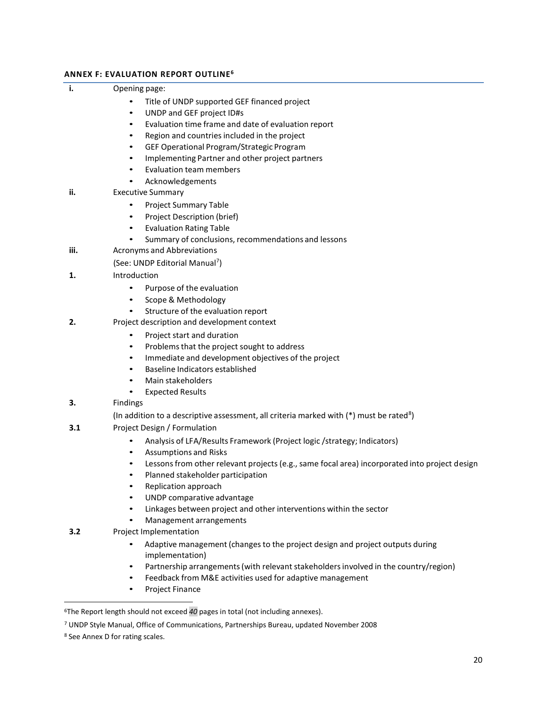## **ANNEX F: EVALUATION REPORT OUTLINE 6**

## **i.** Opening page:

- Title of UNDP supported GEF financed project
- UNDP and GEF project ID#s
- Evaluation time frame and date of evaluation report
- Region and countries included in the project
- GEF Operational Program/Strategic Program
- Implementing Partner and other project partners
- Evaluation team members
- Acknowledgements
- **ii.** Executive Summary
	- Project Summary Table
	- Project Description (brief)
	- Evaluation Rating Table
	- Summary of conclusions, recommendations and lessons
- **iii.** Acronyms and Abbreviations
	- (See: UNDP Editorial Manual<sup>7</sup>)
- **1.** Introduction
	- Purpose of the evaluation
	- Scope & Methodology
	- Structure of the evaluation report
- **2.** Project description and development context
	- Project start and duration
	- Problems that the project sought to address
	- Immediate and development objectives of the project
	- Baseline Indicators established
	- Main stakeholders
	- Expected Results
- **3.** Findings

(In addition to a descriptive assessment, all criteria marked with  $(*)$  must be rated<sup>8</sup>)

- **3.1** Project Design / Formulation
	- Analysis of LFA/Results Framework (Project logic /strategy; Indicators)
	- Assumptions and Risks
	- Lessons from other relevant projects (e.g., same focal area) incorporated into project design
	- Planned stakeholder participation
	- Replication approach
	- UNDP comparative advantage
	- Linkages between project and other interventions within the sector
	- Management arrangements

## **3.2** Project Implementation

- Adaptive management (changes to the project design and project outputs during implementation)
- Partnership arrangements (with relevant stakeholders involved in the country/region)
- Feedback from M&E activities used for adaptive management
- Project Finance

<sup>6</sup>The Report length should not exceed *40* pages in total (not including annexes).

<sup>7</sup> UNDP Style Manual, Office of Communications, Partnerships Bureau, updated November 2008

<sup>8</sup> See Annex D for rating scales.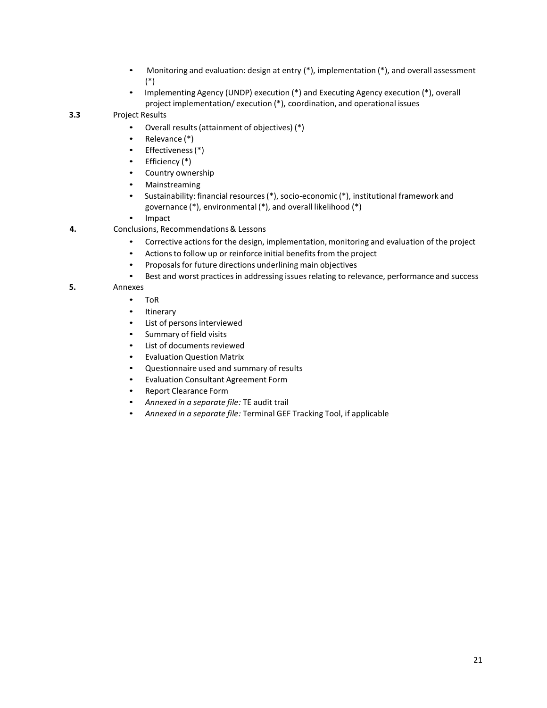- Monitoring and evaluation: design at entry (\*), implementation (\*), and overall assessment (\*)
- Implementing Agency (UNDP) execution (\*) and Executing Agency execution (\*), overall project implementation/ execution (\*), coordination, and operational issues

## **3.3** Project Results

- Overall results(attainment of objectives) (\*)
- Relevance (\*)
- Effectiveness(\*)
- Efficiency (\*)
- Country ownership
- Mainstreaming
- Sustainability: financial resources(\*), socio-economic (\*), institutional framework and governance (\*), environmental (\*), and overall likelihood (\*)
- Impact
- **4.** Conclusions, Recommendations& Lessons
	- Corrective actions for the design, implementation, monitoring and evaluation of the project
	- Actions to follow up or reinforce initial benefits from the project
	- Proposals for future directions underlining main objectives
	- Best and worst practices in addressing issues relating to relevance, performance and success
- **5.** Annexes
	- ToR
	- **Itinerary**
	- List of persons interviewed
	- Summary of field visits
	- List of documents reviewed
	- Evaluation Question Matrix
	- Questionnaire used and summary of results
	- Evaluation Consultant Agreement Form
	- Report Clearance Form
	- *Annexed in a separate file:* TE audit trail
	- *Annexed in a separate file:* Terminal GEF Tracking Tool, if applicable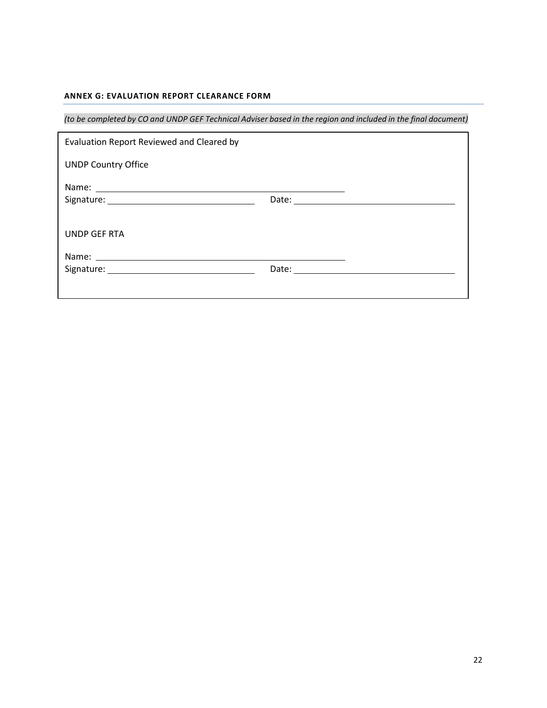## **ANNEX G: EVALUATION REPORT CLEARANCE FORM**

(to be completed by CO and UNDP GEF Technical Adviser based in the region and included in the final document)

| Evaluation Report Reviewed and Cleared by |  |
|-------------------------------------------|--|
| <b>UNDP Country Office</b>                |  |
|                                           |  |
|                                           |  |
|                                           |  |
| UNDP GEF RTA                              |  |
|                                           |  |
|                                           |  |
|                                           |  |